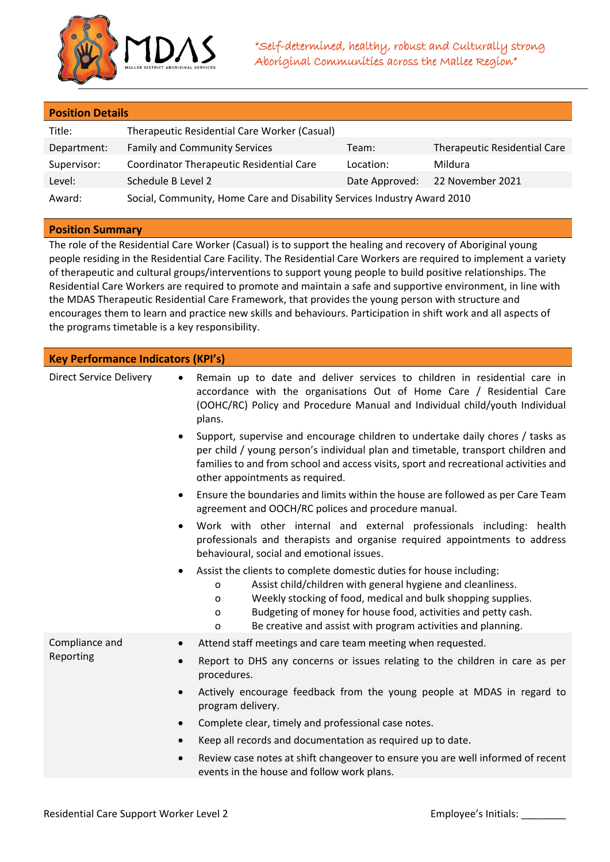

|  | <b>Position Details</b> |  |
|--|-------------------------|--|
|  |                         |  |

| Title:      | Therapeutic Residential Care Worker (Casual)                             |           |                                     |
|-------------|--------------------------------------------------------------------------|-----------|-------------------------------------|
| Department: | <b>Family and Community Services</b>                                     | Team:     | <b>Therapeutic Residential Care</b> |
| Supervisor: | Coordinator Therapeutic Residential Care                                 | Location: | Mildura                             |
| Level:      | Schedule B Level 2                                                       |           | Date Approved: 22 November 2021     |
| Award:      | Social, Community, Home Care and Disability Services Industry Award 2010 |           |                                     |

## **Position Summary**

The role of the Residential Care Worker (Casual) is to support the healing and recovery of Aboriginal young people residing in the Residential Care Facility. The Residential Care Workers are required to implement a variety of therapeutic and cultural groups/interventions to support young people to build positive relationships. The Residential Care Workers are required to promote and maintain a safe and supportive environment, in line with the MDAS Therapeutic Residential Care Framework, that provides the young person with structure and encourages them to learn and practice new skills and behaviours. Participation in shift work and all aspects of the programs timetable is a key responsibility.

| <b>Key Performance Indicators (KPI's)</b> |                                                                                                                                                                                                                                                                                                                                                                      |  |  |
|-------------------------------------------|----------------------------------------------------------------------------------------------------------------------------------------------------------------------------------------------------------------------------------------------------------------------------------------------------------------------------------------------------------------------|--|--|
| <b>Direct Service Delivery</b>            | Remain up to date and deliver services to children in residential care in<br>$\bullet$<br>accordance with the organisations Out of Home Care / Residential Care<br>(OOHC/RC) Policy and Procedure Manual and Individual child/youth Individual<br>plans.                                                                                                             |  |  |
|                                           | Support, supervise and encourage children to undertake daily chores / tasks as<br>$\bullet$<br>per child / young person's individual plan and timetable, transport children and<br>families to and from school and access visits, sport and recreational activities and<br>other appointments as required.                                                           |  |  |
|                                           | Ensure the boundaries and limits within the house are followed as per Care Team<br>$\bullet$<br>agreement and OOCH/RC polices and procedure manual.                                                                                                                                                                                                                  |  |  |
|                                           | Work with other internal and external professionals including: health<br>professionals and therapists and organise required appointments to address<br>behavioural, social and emotional issues.                                                                                                                                                                     |  |  |
|                                           | Assist the clients to complete domestic duties for house including:<br>$\bullet$<br>Assist child/children with general hygiene and cleanliness.<br>O<br>Weekly stocking of food, medical and bulk shopping supplies.<br>O<br>Budgeting of money for house food, activities and petty cash.<br>o<br>Be creative and assist with program activities and planning.<br>o |  |  |
| Compliance and                            | Attend staff meetings and care team meeting when requested.<br>$\bullet$                                                                                                                                                                                                                                                                                             |  |  |
| Reporting                                 | Report to DHS any concerns or issues relating to the children in care as per<br>$\bullet$<br>procedures.                                                                                                                                                                                                                                                             |  |  |
|                                           | Actively encourage feedback from the young people at MDAS in regard to<br>$\bullet$<br>program delivery.                                                                                                                                                                                                                                                             |  |  |
|                                           | Complete clear, timely and professional case notes.<br>$\bullet$                                                                                                                                                                                                                                                                                                     |  |  |
|                                           | Keep all records and documentation as required up to date.<br>$\bullet$                                                                                                                                                                                                                                                                                              |  |  |
|                                           | Review case notes at shift changeover to ensure you are well informed of recent<br>$\bullet$<br>events in the house and follow work plans.                                                                                                                                                                                                                           |  |  |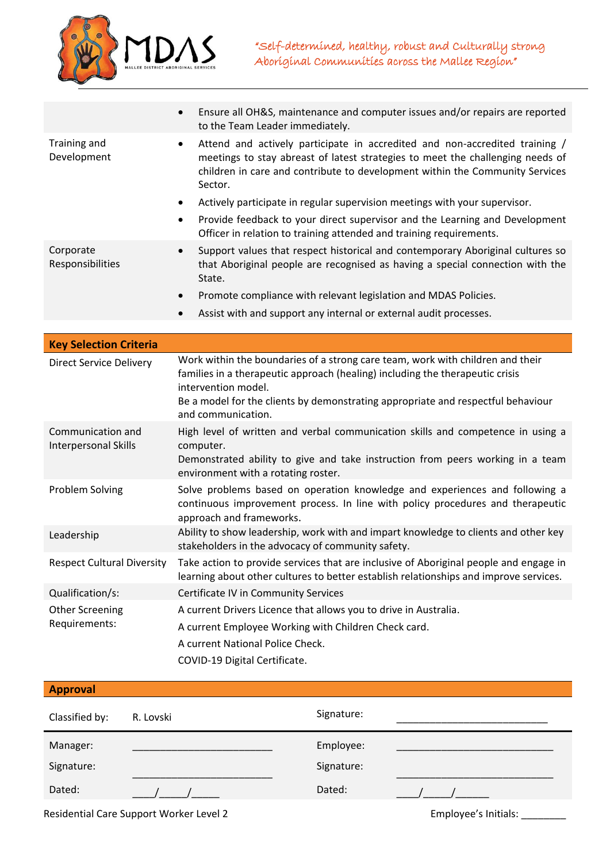

|                                           | Ensure all OH&S, maintenance and computer issues and/or repairs are reported<br>$\bullet$<br>to the Team Leader immediately.                                                                                                                                                                     |  |  |
|-------------------------------------------|--------------------------------------------------------------------------------------------------------------------------------------------------------------------------------------------------------------------------------------------------------------------------------------------------|--|--|
| Training and<br>Development               | Attend and actively participate in accredited and non-accredited training /<br>$\bullet$<br>meetings to stay abreast of latest strategies to meet the challenging needs of<br>children in care and contribute to development within the Community Services<br>Sector.                            |  |  |
|                                           | Actively participate in regular supervision meetings with your supervisor.<br>٠                                                                                                                                                                                                                  |  |  |
|                                           | Provide feedback to your direct supervisor and the Learning and Development<br>٠<br>Officer in relation to training attended and training requirements.                                                                                                                                          |  |  |
| Corporate<br>Responsibilities             | Support values that respect historical and contemporary Aboriginal cultures so<br>$\bullet$<br>that Aboriginal people are recognised as having a special connection with the<br>State.                                                                                                           |  |  |
|                                           | Promote compliance with relevant legislation and MDAS Policies.                                                                                                                                                                                                                                  |  |  |
|                                           | Assist with and support any internal or external audit processes.<br>$\bullet$                                                                                                                                                                                                                   |  |  |
|                                           |                                                                                                                                                                                                                                                                                                  |  |  |
| <b>Key Selection Criteria</b>             |                                                                                                                                                                                                                                                                                                  |  |  |
| <b>Direct Service Delivery</b>            | Work within the boundaries of a strong care team, work with children and their<br>families in a therapeutic approach (healing) including the therapeutic crisis<br>intervention model.<br>Be a model for the clients by demonstrating appropriate and respectful behaviour<br>and communication. |  |  |
| Communication and<br>Interpersonal Skills | High level of written and verbal communication skills and competence in using a<br>computer.                                                                                                                                                                                                     |  |  |
|                                           | Demonstrated ability to give and take instruction from peers working in a team<br>environment with a rotating roster.                                                                                                                                                                            |  |  |
| Problem Solving                           | Solve problems based on operation knowledge and experiences and following a<br>continuous improvement process. In line with policy procedures and therapeutic<br>approach and frameworks.                                                                                                        |  |  |
| Leadership                                | Ability to show leadership, work with and impart knowledge to clients and other key<br>stakeholders in the advocacy of community safety.                                                                                                                                                         |  |  |
| <b>Respect Cultural Diversity</b>         | Take action to provide services that are inclusive of Aboriginal people and engage in<br>learning about other cultures to better establish relationships and improve services.                                                                                                                   |  |  |
| Qualification/s:                          | Certificate IV in Community Services                                                                                                                                                                                                                                                             |  |  |
| <b>Other Screening</b>                    | A current Drivers Licence that allows you to drive in Australia.                                                                                                                                                                                                                                 |  |  |
| Requirements:                             | A current Employee Working with Children Check card.                                                                                                                                                                                                                                             |  |  |
|                                           | A current National Police Check.                                                                                                                                                                                                                                                                 |  |  |
|                                           | COVID-19 Digital Certificate.                                                                                                                                                                                                                                                                    |  |  |

| <b>Approval</b>                         |           |                      |  |
|-----------------------------------------|-----------|----------------------|--|
| Classified by:                          | R. Lovski | Signature:           |  |
| Manager:                                |           | Employee:            |  |
| Signature:                              |           | Signature:           |  |
| Dated:                                  |           | Dated:               |  |
| Residential Care Support Worker Level 2 |           | Employee's Initials: |  |